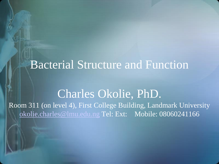# Bacterial Structure and Function

### Charles Okolie, PhD. Room 311 (on level 4), First College Building, Landmark University [okolie.charles@lmu.edu.ng](mailto:okolie.charles@lmu.edu.ng) Tel: Ext: Mobile: 08060241166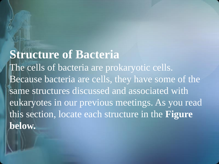**Structure of Bacteria** The cells of bacteria are prokaryotic cells. Because bacteria are cells, they have some of the same structures discussed and associated with eukaryotes in our previous meetings. As you read this section, locate each structure in the **Figure below.**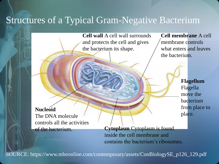### Structures of a Typical Gram-Negative Bacterium

**Cell wall** A cell wall surrounds and protects the cell and gives the bacterium its shape.

**Cell membrane** A cell membrane controls what enters and leaves the bacterium.

> **Flagellum**  Flagella move the bacterium from place to place.

**Nucleoid**  The DNA molecule controls all the activities

of the bacterium. **Cytoplasm** Cytoplasm is found inside the cell membrane and contains the bacterium's ribosomes.

SOURCE: https://www.mheonline.com/contemporary/assets/ConBiologySE\_p126\_129.pdf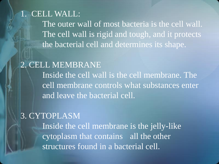1. CELL WALL: The outer wall of most bacteria is the cell wall. The cell wall is rigid and tough, and it protects the bacterial cell and determines its shape.

2. CELL MEMBRANE Inside the cell wall is the cell membrane. The cell membrane controls what substances enter and leave the bacterial cell.

3. CYTOPLASM Inside the cell membrane is the jelly-like cytoplasm that contains all the other structures found in a bacterial cell.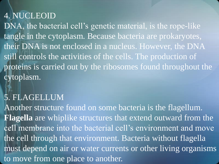### 4. NUCLEOID

DNA, the bacterial cell's genetic material, is the rope-like tangle in the cytoplasm. Because bacteria are prokaryotes, their DNA is not enclosed in a nucleus. However, the DNA still controls the activities of the cells. The production of proteins is carried out by the ribosomes found throughout the cytoplasm.

### 5. FLAGELLUM

Another structure found on some bacteria is the flagellum. **Flagella** are whiplike structures that extend outward from the cell membrane into the bacterial cell's environment and move the cell through that environment. Bacteria without flagella must depend on air or water currents or other living organisms to move from one place to another.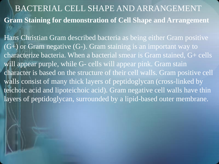## BACTERIAL CELL SHAPE AND ARRANGEMENT **Gram Staining for demonstration of Cell Shape and Arrangement**

Hans Christian Gram described bacteria as being either Gram positive (G+) or Gram negative (G-). Gram staining is an important way to characterize bacteria. When a bacterial smear is Gram stained, G+ cells will appear purple, while G- cells will appear pink. Gram stain character is based on the structure of their cell walls. Gram positive cell walls consist of many thick layers of peptidoglycan (cross-linked by teichoic acid and lipoteichoic acid). Gram negative cell walls have thin layers of peptidoglycan, surrounded by a lipid-based outer membrane.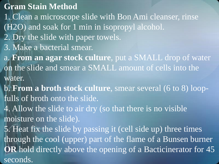#### **Gram Stain Method**

1. Clean a microscope slide with Bon Ami cleanser, rinse (H2O) and soak for 1 min in isopropyl alcohol.

- 2. Dry the slide with paper towels.
- 3. Make a bacterial smear.
- a. **From an agar stock culture**, put a SMALL drop of water on the slide and smear a SMALL amount of cells into the water.
- b. **From a broth stock culture**, smear several (6 to 8) loopfulls of broth onto the slide.
- 4. Allow the slide to air dry (so that there is no visible moisture on the slide).

5. Heat fix the slide by passing it (cell side up) three times through the cool (upper) part of the flame of a Bunsen burner **OR** hold directly above the opening of a Bacticinerator for 45 seconds.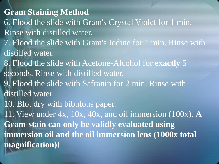**Gram Staining Method** 6. Flood the slide with Gram's Crystal Violet for 1 min. Rinse with distilled water. 7. Flood the slide with Gram's Iodine for 1 min. Rinse with distilled water. 8. Flood the slide with Acetone-Alcohol for **exactly** 5 seconds. Rinse with distilled water. 9. Flood the slide with Safranin for 2 min. Rinse with distilled water. 10. Blot dry with bibulous paper. 11. View under 4x, 10x, 40x, and oil immersion (100x). **A Gram-stain can only be validly evaluated using immersion oil and the oil immersion lens (1000x total magnification)!**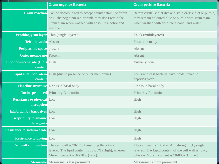|                                                    | <b>Gram-negative Bacteria</b>                                                                                                                                                                        | <b>Gram-positive Bacteria</b>                                                                                                                                     |
|----------------------------------------------------|------------------------------------------------------------------------------------------------------------------------------------------------------------------------------------------------------|-------------------------------------------------------------------------------------------------------------------------------------------------------------------|
|                                                    | <b>Gram reaction</b> Can be decolourized to accept counter stain (Safranin<br>or Fuchsine); stain red or pink, they don't retain the<br>Gram stain when washed with absolute alcohol and<br>acetone. | Retain crystal violet dye and stain dark violet or purple,<br>they remain coloured blue or purple with gram stain<br>when washed with absolute alcohol and water. |
|                                                    | Peptidoglycan layer Thin (single-layered)                                                                                                                                                            | Thick (multilayered)                                                                                                                                              |
| <b>Teichoic acids</b> Absent                       |                                                                                                                                                                                                      | Present in many                                                                                                                                                   |
| <b>Periplasmic space</b> present                   |                                                                                                                                                                                                      | Absent                                                                                                                                                            |
| <b>Outer membrane</b> Present                      |                                                                                                                                                                                                      | Absent                                                                                                                                                            |
| Lipopolysaccharide (LPS) High<br>content           |                                                                                                                                                                                                      | Virtually none                                                                                                                                                    |
| content                                            | Lipid and lipoprotein High (due to presence of outer membrane)                                                                                                                                       | Low (acid-fast bacteria have lipids linked to<br>peptidoglycan)                                                                                                   |
|                                                    | Flagellar structure 4 rings in basal body                                                                                                                                                            | 2 rings in basal body                                                                                                                                             |
|                                                    | <b>Toxins produced</b> Primarily Endotoxins                                                                                                                                                          | <b>Primarily Exotoxins</b>                                                                                                                                        |
| <b>Resistance to physical Low</b><br>disruption    |                                                                                                                                                                                                      | High                                                                                                                                                              |
| <b>Inhibition by basic dyes</b> Low                |                                                                                                                                                                                                      | High                                                                                                                                                              |
| <b>Susceptibility to anionic Low</b><br>detergents |                                                                                                                                                                                                      | High                                                                                                                                                              |
| <b>Resistance to sodium azide Low</b>              |                                                                                                                                                                                                      | High                                                                                                                                                              |
| <b>Resistance to drying Low</b>                    |                                                                                                                                                                                                      | High                                                                                                                                                              |
|                                                    | <b>Cell wall composition</b> The cell wall is 70-120 Armstrong thick two<br>layered. The lipid content is 20-30% (High), whereas<br>Murein content is 10-20% (Low).                                  | The cell wall is 100-120 Armstrong thick, single<br>layered. The Lipid content of the cell wall is low,<br>whereas Murein content is 70-80% (Higher).             |
|                                                    | <b>Mesosome</b> Mesosome is less prominent.                                                                                                                                                          | Mesosome is more prominent.                                                                                                                                       |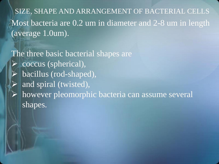Most bacteria are 0.2 um in diameter and 2-8 um in length (average 1.0um). SIZE, SHAPE AND ARRANGEMENT OF BACTERIAL CELLS

The three basic bacterial shapes are  $\triangleright$  coccus (spherical), bacillus (rod-shaped), and spiral (twisted), however pleomorphic bacteria can assume several shapes.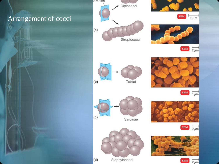#### Arrangement of cocci

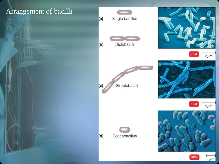#### Arrangement of bacilli





**SEM** 

 $1 \mu m$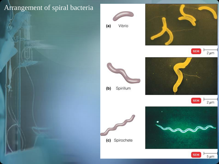#### Arrangement of spiral bacteria



 $(a)$ Vibrio